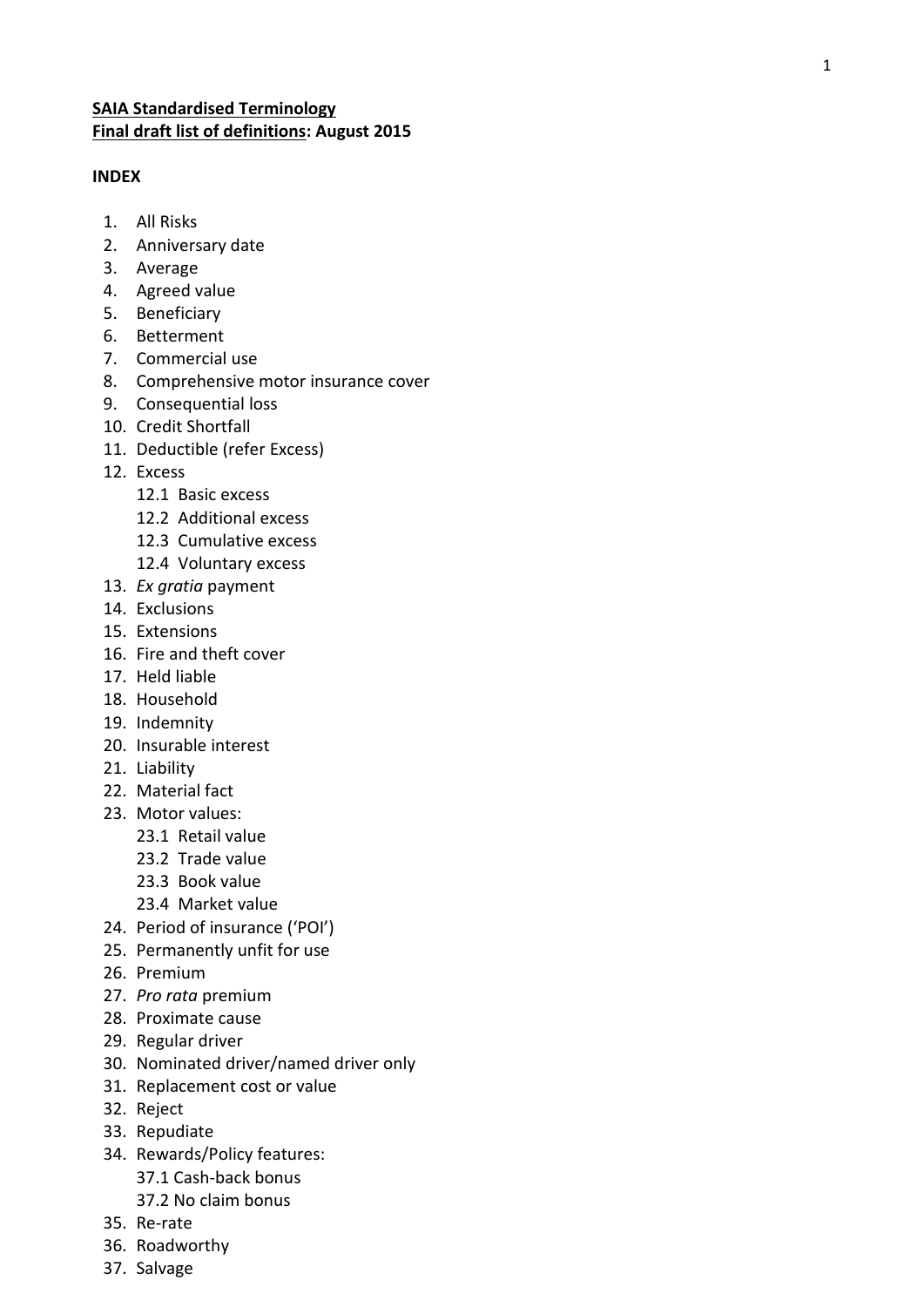# **SAIA Standardised Terminology Final draft list of definitions : August 2015**

## **INDEX**

- 1. All Risks
- 2. Anniversary date
- 3. Average
- 4. Agreed value
- 5. Beneficiary
- 6. Betterment
- 7. Commercial use
- 8. Comprehensive motor insurance cover
- 9. Consequential loss
- 10. Credit Shortfall
- 11. Deductible (refer Excess)
- 12. Excess
	- 12.1 Basic excess
	- 12.2 Additional excess
	- 12.3 Cumulative excess
	- 12.4 Voluntary excess
- 13. *Ex gratia* payment
- 14. Exclusions
- 15. Extensions
- 16. Fire and theft cover
- 17. Held liable
- 18. Household
- 19. Indemnity
- 20. Insurable interest
- 21. Liability
- 22. Material fact
- 23. Motor values :
	- 23.1 Retail value
	- 23.2 Trade value
	- 23.3 Book value
	- 23.4 Market value
- 24. Period of insurance ('POI')
- 25. Permanently unfit for use
- 26. Premium
- 27. *Pro rata* premium
- 28. Proximate cause
- 29. Regular driver
- 30. Nominated driver/ named driver only
- 31. Replacement cost or value
- 32. Reject
- 33. Repudiate
- 34. Rewards/Policy features: 37.1 Cash -back bonus 37.2 No claim bonus
- 35. Re -rate
- 36. Roadworthy
- 37. Salvage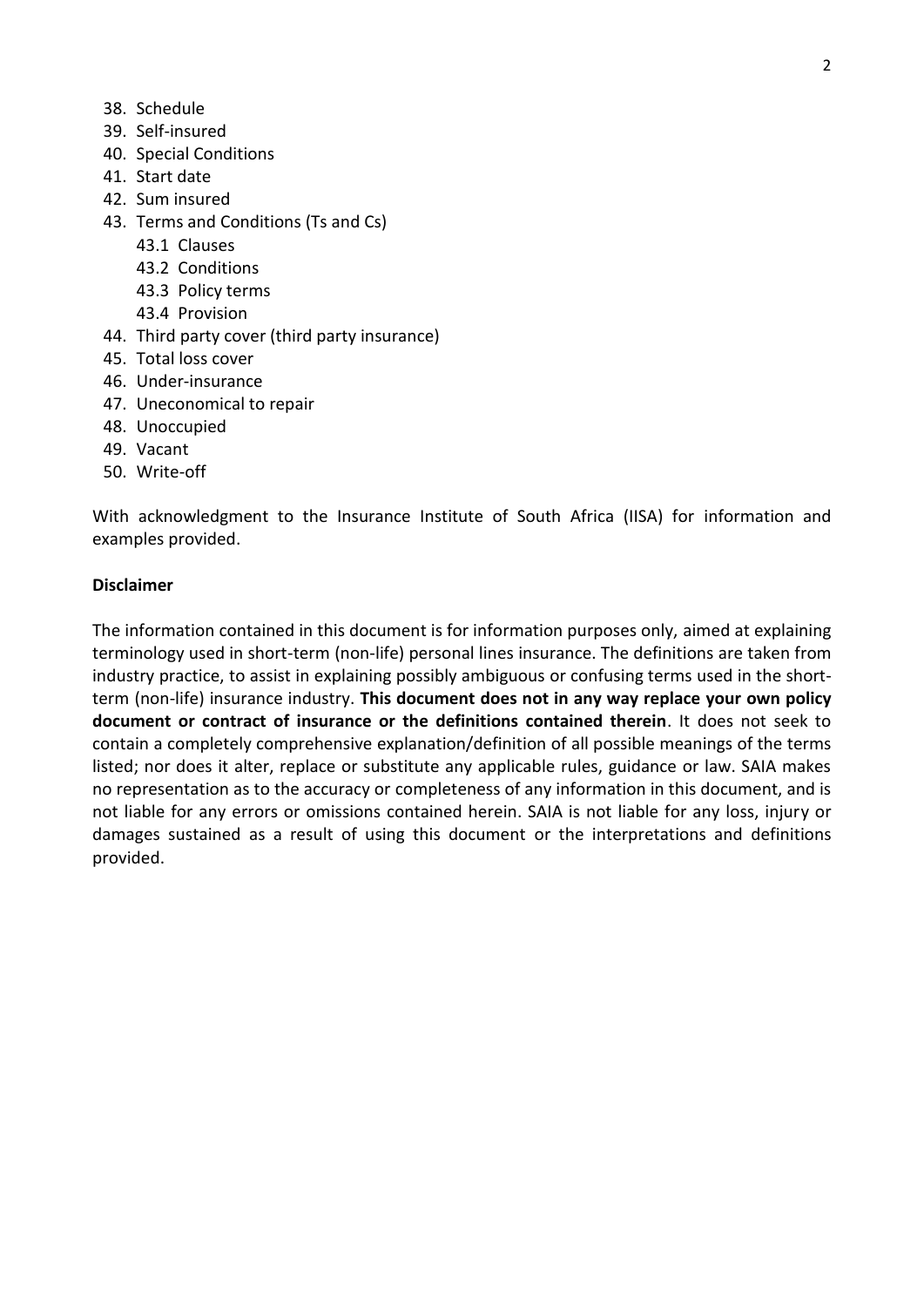- 38. Schedule
- 39. Self-insured
- 40. Special Conditions
- 41. Start date
- 42. Sum insured
- 43. Terms and Conditions (Ts and Cs)
	- 43.1 Clauses
	- 43.2 Conditions
	- 43.3 Policy terms
	- 43.4 Provision
- 44. Third party cover (third party insurance)
- 45. Total loss cover
- 46. Under-insurance
- 47. Uneconomical to repair
- 48. Unoccupied
- 49. Vacant
- 50. Write-off

With acknowledgment to the Insurance Institute of South Africa (IISA) for information and examples provided.

#### **Disclaimer**

The information contained in this document is for information purposes only, aimed at explaining terminology used in short-term (non-life) personal lines insurance. The definitions are taken from industry practice, to assist in explaining possibly ambiguous or confusing terms used in the shortterm (non-life) insurance industry. **This document does not in any way replace your own policy document or contract of insurance or the definitions contained therein**. It does not seek to contain a completely comprehensive explanation/definition of all possible meanings of the terms listed; nor does it alter, replace or substitute any applicable rules, guidance or law. SAIA makes no representation as to the accuracy or completeness of any information in this document, and is not liable for any errors or omissions contained herein. SAIA is not liable for any loss, injury or damages sustained as a result of using this document or the interpretations and definitions provided.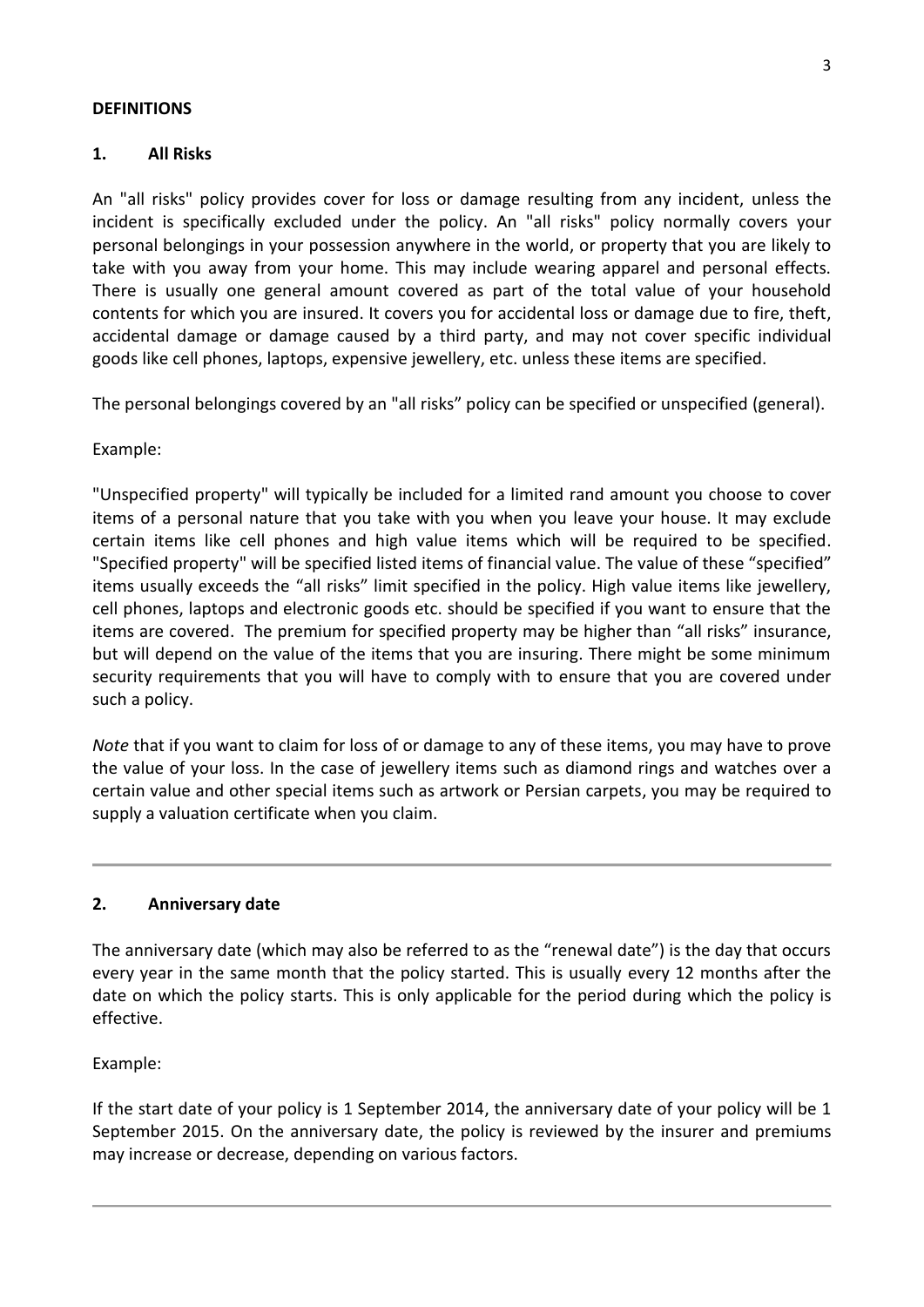## **DEFINITIONS**

## **1. All Risks**

An "all risks" policy provides cover for loss or damage resulting from any incident, unless the incident is specifically excluded under the policy. An "all risks" policy normally covers your personal belongings in your possession anywhere in the world, or property that you are likely to take with you away from your home. This may include wearing apparel and personal effects. There is usually one general amount covered as part of the total value of your household contents for which you are insured. It covers you for accidental loss or damage due to fire, theft, accidental damage or damage caused by a third party, and may not cover specific individual goods like cell phones, laptops, expensive jewellery, etc. unless these items are specified.

The personal belongings covered by an "all risks" policy can be specified or unspecified (general).

Example:

"Unspecified property" will typically be included for a limited rand amount you choose to cover items of a personal nature that you take with you when you leave your house. It may exclude certain items like cell phones and high value items which will be required to be specified. "Specified property" will be specified listed items of financial value. The value of these "specified" items usually exceeds the "all risks" limit specified in the policy. High value items like jewellery, cell phones, laptops and electronic goods etc. should be specified if you want to ensure that the items are covered. The premium for specified property may be higher than "all risks" insurance, but will depend on the value of the items that you are insuring. There might be some minimum security requirements that you will have to comply with to ensure that you are covered under such a policy.

*Note* that if you want to claim for loss of or damage to any of these items, you may have to prove the value of your loss. In the case of jewellery items such as diamond rings and watches over a certain value and other special items such as artwork or Persian carpets, you may be required to supply a valuation certificate when you claim.

## **2. Anniversary date**

The anniversary date (which may also be referred to as the "renewal date") is the day that occurs every year in the same month that the policy started. This is usually every 12 months after the date on which the policy starts. This is only applicable for the period during which the policy is effective.

Example:

If the start date of your policy is 1 September 2014, the anniversary date of your policy will be 1 September 2015. On the anniversary date, the policy is reviewed by the insurer and premiums may increase or decrease, depending on various factors.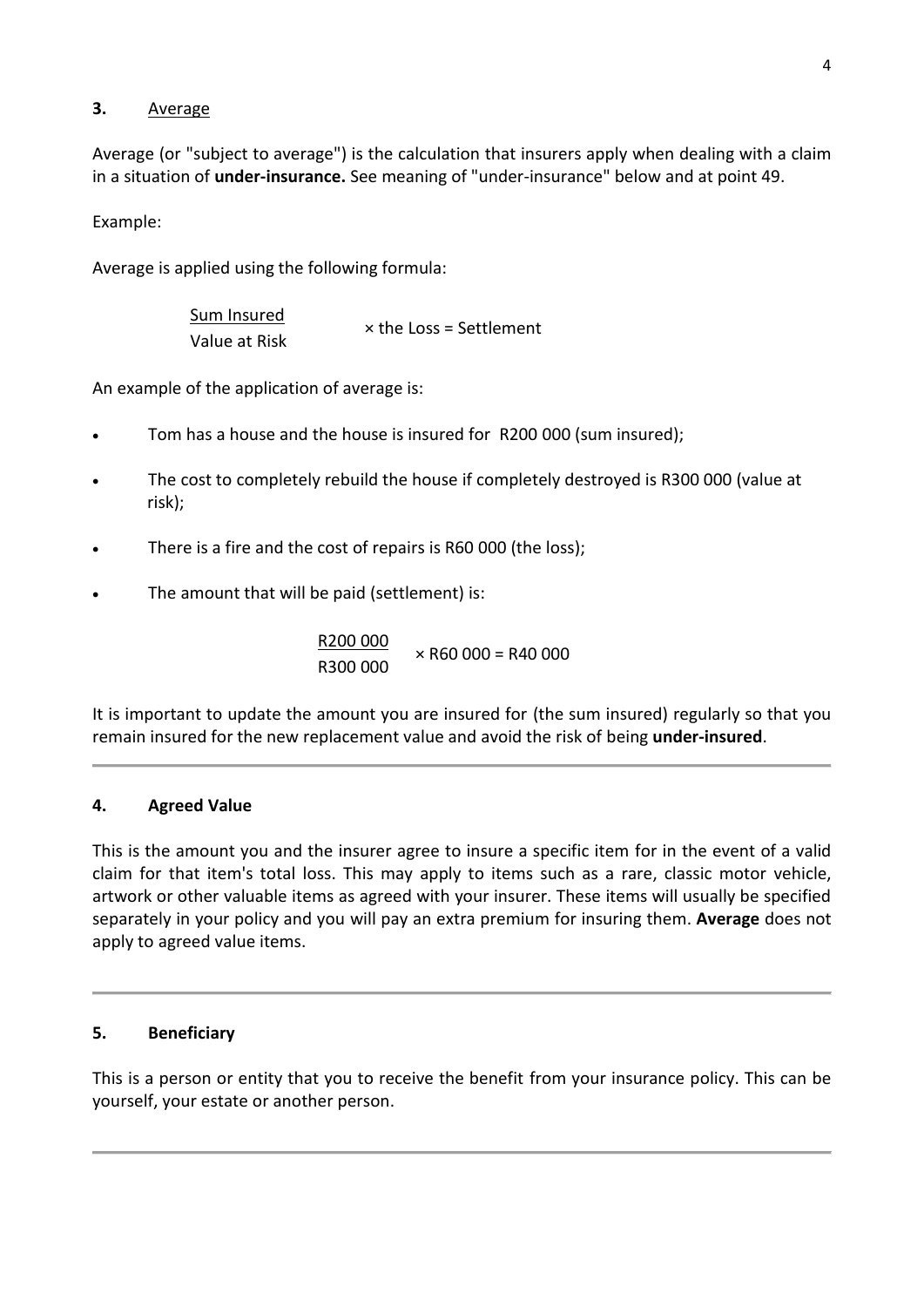# **3.** Average

Average (or "subject to average") is the calculation that insurers apply when dealing with a claim in a situation of **under-insurance.** See meaning of "under-insurance" below and at point 49.

Example:

Average is applied using the following formula:

| Sum Insured   | $\times$ the Loss = Settlement |
|---------------|--------------------------------|
| Value at Risk |                                |

An example of the application of average is:

- Tom has a house and the house is insured for R200 000 (sum insured);
- The cost to completely rebuild the house if completely destroyed is R300 000 (value at risk);
- There is a fire and the cost of repairs is R60 000 (the loss);
- The amount that will be paid (settlement) is:

R200 000  $\times$  R60 000 = R40 000 R300 000

It is important to update the amount you are insured for (the sum insured) regularly so that you remain insured for the new replacement value and avoid the risk of being **under-insured**.

## **4. Agreed Value**

This is the amount you and the insurer agree to insure a specific item for in the event of a valid claim for that item's total loss. This may apply to items such as a rare, classic motor vehicle, artwork or other valuable items as agreed with your insurer. These items will usually be specified separately in your policy and you will pay an extra premium for insuring them. **Average** does not apply to agreed value items.

## **5. Beneficiary**

This is a person or entity that you to receive the benefit from your insurance policy. This can be yourself, your estate or another person.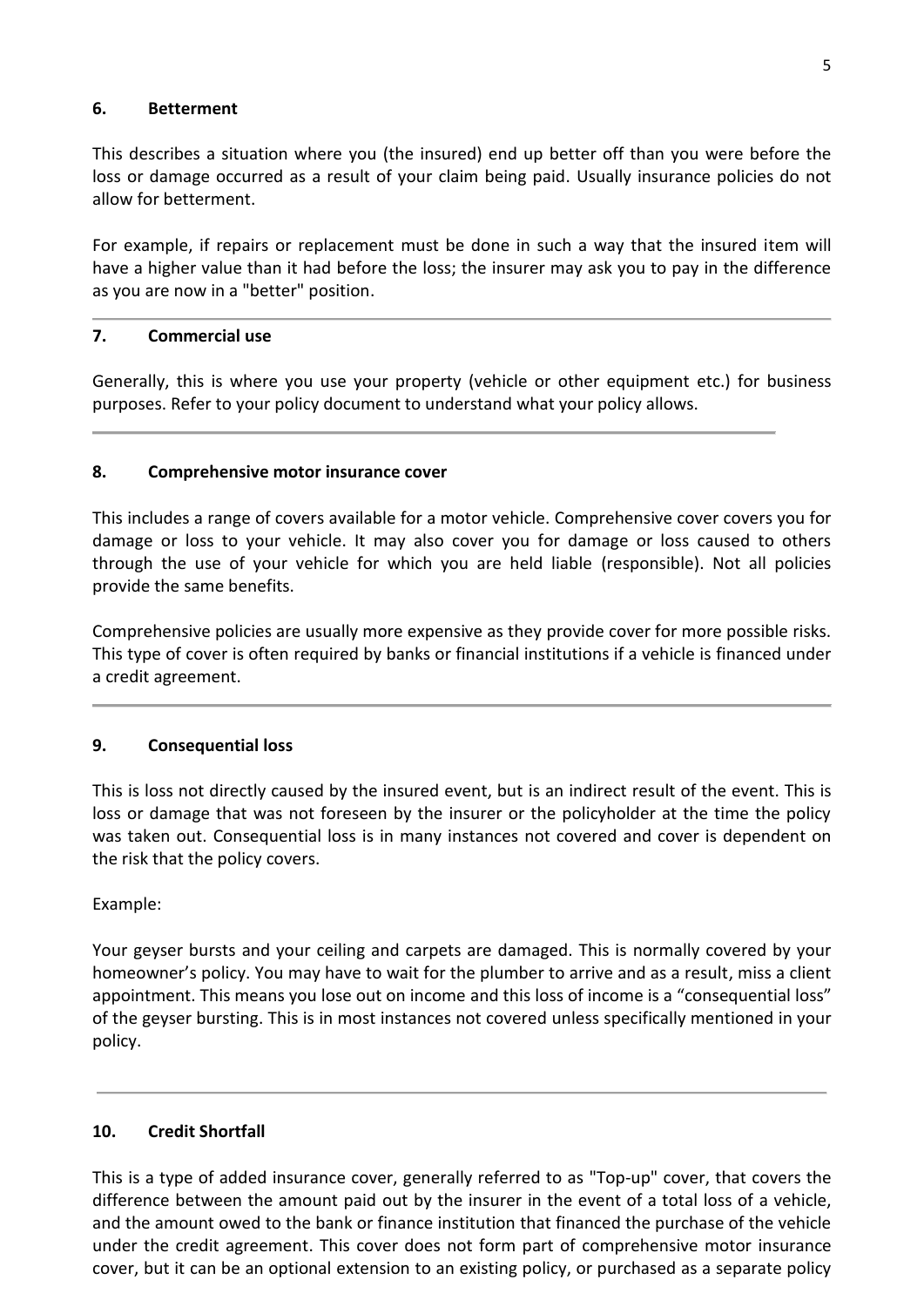## **6. Betterment**

This describes a situation where you (the insured) end up better off than you were before the loss or damage occurred as a result of your claim being paid. Usually insurance policies do not allow for betterment.

For example, if repairs or replacement must be done in such a way that the insured item will have a higher value than it had before the loss; the insurer may ask you to pay in the difference as you are now in a "better" position.

## **7. Commercial use**

Generally, this is where you use your property (vehicle or other equipment etc.) for business purposes. Refer to your policy document to understand what your policy allows.

## **8. Comprehensive motor insurance cover**

This includes a range of covers available for a motor vehicle. Comprehensive cover covers you for damage or loss to your vehicle. It may also cover you for damage or loss caused to others through the use of your vehicle for which you are held liable (responsible). Not all policies provide the same benefits.

Comprehensive policies are usually more expensive as they provide cover for more possible risks. This type of cover is often required by banks or financial institutions if a vehicle is financed under a credit agreement.

## **9. Consequential loss**

This is loss not directly caused by the insured event, but is an indirect result of the event. This is loss or damage that was not foreseen by the insurer or the policyholder at the time the policy was taken out. Consequential loss is in many instances not covered and cover is dependent on the risk that the policy covers.

#### Example:

Your geyser bursts and your ceiling and carpets are damaged. This is normally covered by your homeowner's policy. You may have to wait for the plumber to arrive and as a result, miss a client appointment. This means you lose out on income and this loss of income is a "consequential loss" of the geyser bursting. This is in most instances not covered unless specifically mentioned in your policy.

#### **10. Credit Shortfall**

This is a type of added insurance cover, generally referred to as "Top-up" cover, that covers the difference between the amount paid out by the insurer in the event of a total loss of a vehicle, and the amount owed to the bank or finance institution that financed the purchase of the vehicle under the credit agreement. This cover does not form part of comprehensive motor insurance cover, but it can be an optional extension to an existing policy, or purchased as a separate policy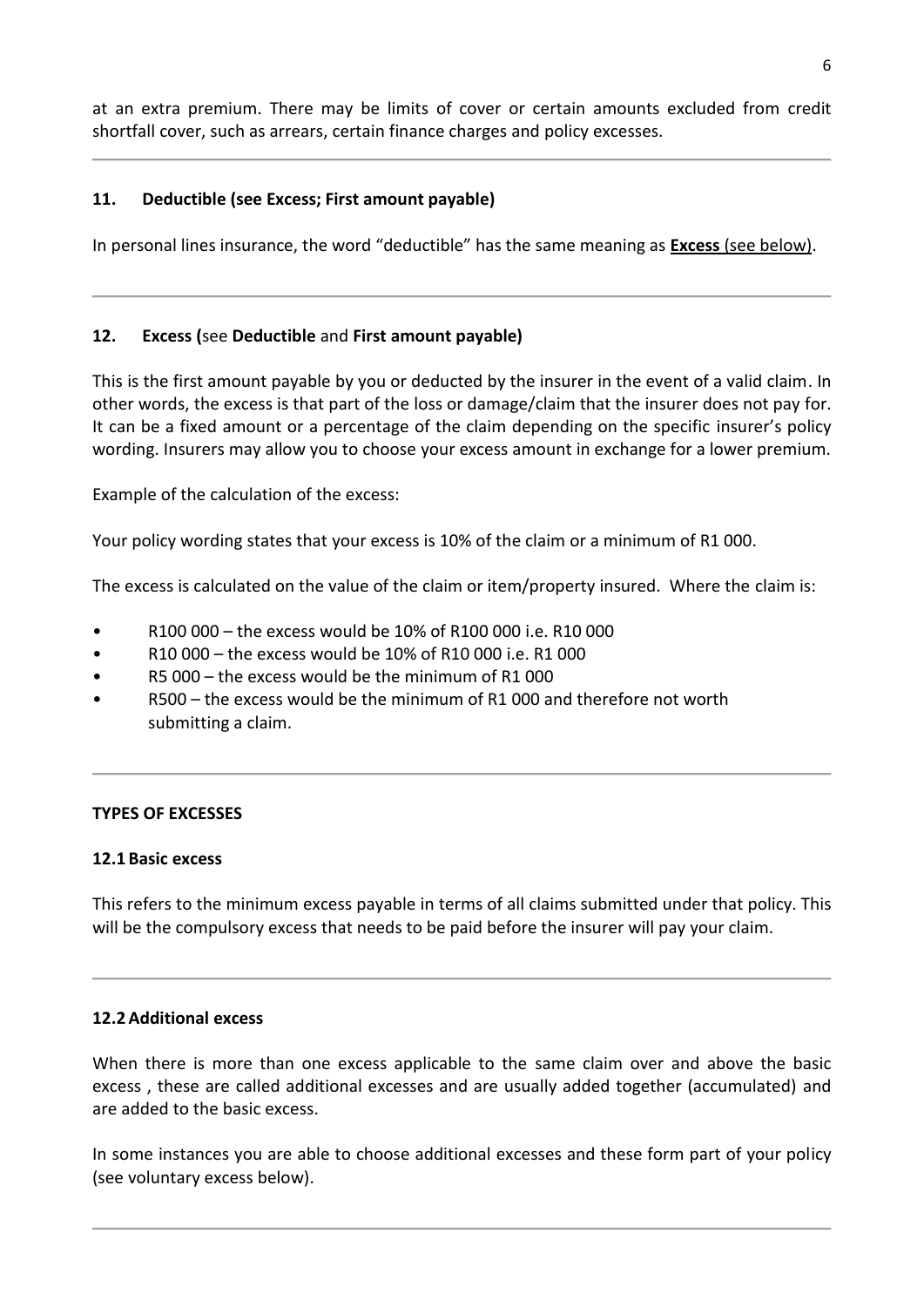at an extra premium. There may be limits of cover or certain amounts excluded from credit shortfall cover, such as arrears, certain finance charges and policy excesses.

## **11. Deductible (see Excess; First amount payable)**

In personal lines insurance, the word "deductible" has the same meaning as **Excess** (see below).

## **12. Excess (**see **Deductible** and **First amount payable)**

This is the first amount payable by you or deducted by the insurer in the event of a valid claim. In other words, the excess is that part of the loss or damage/claim that the insurer does not pay for. It can be a fixed amount or a percentage of the claim depending on the specific insurer's policy wording. Insurers may allow you to choose your excess amount in exchange for a lower premium.

Example of the calculation of the excess:

Your policy wording states that your excess is 10% of the claim or a minimum of R1 000.

The excess is calculated on the value of the claim or item/property insured. Where the claim is:

- R100 000 the excess would be 10% of R100 000 i.e. R10 000
- R10 000 the excess would be 10% of R10 000 i.e. R1 000
- R5 000 the excess would be the minimum of R1 000
- R500 the excess would be the minimum of R1 000 and therefore not worth submitting a claim.

## **TYPES OF EXCESSES**

## **12.1 Basic excess**

This refers to the minimum excess payable in terms of all claims submitted under that policy. This will be the compulsory excess that needs to be paid before the insurer will pay your claim.

## **12.2Additional excess**

When there is more than one excess applicable to the same claim over and above the basic excess , these are called additional excesses and are usually added together (accumulated) and are added to the basic excess.

In some instances you are able to choose additional excesses and these form part of your policy (see voluntary excess below).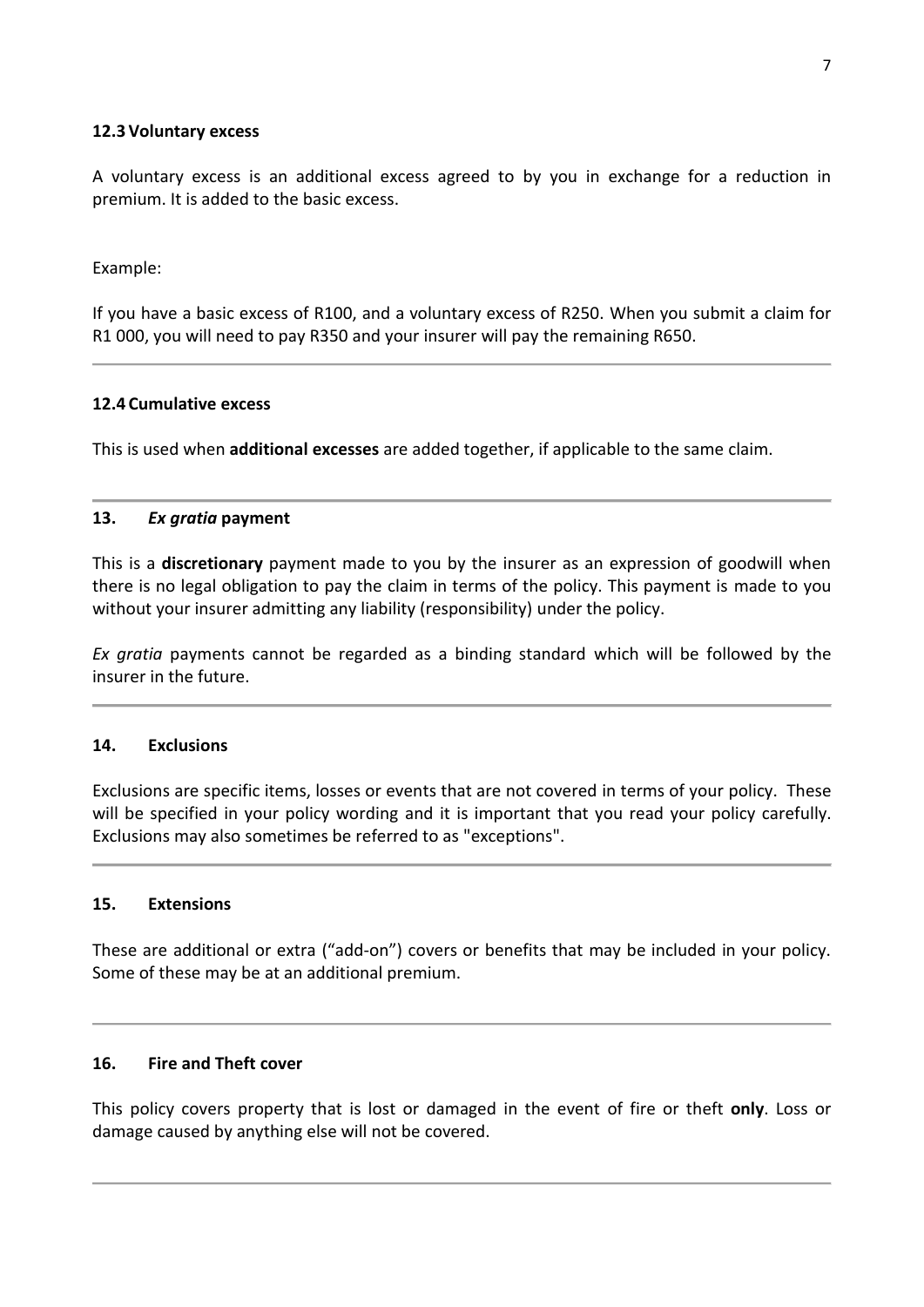## **12.3Voluntary excess**

A voluntary excess is an additional excess agreed to by you in exchange for a reduction in premium. It is added to the basic excess.

Example:

If you have a basic excess of R100, and a voluntary excess of R250. When you submit a claim for R1 000, you will need to pay R350 and your insurer will pay the remaining R650.

## **12.4 Cumulative excess**

This is used when **additional excesses** are added together, if applicable to the same claim.

## **13.** *Ex gratia* **payment**

This is a **discretionary** payment made to you by the insurer as an expression of goodwill when there is no legal obligation to pay the claim in terms of the policy. This payment is made to you without your insurer admitting any liability (responsibility) under the policy.

*Ex gratia* payments cannot be regarded as a binding standard which will be followed by the insurer in the future.

#### **14. Exclusions**

Exclusions are specific items, losses or events that are not covered in terms of your policy. These will be specified in your policy wording and it is important that you read your policy carefully. Exclusions may also sometimes be referred to as "exceptions".

## **15. Extensions**

These are additional or extra ("add-on") covers or benefits that may be included in your policy. Some of these may be at an additional premium.

## **16. Fire and Theft cover**

This policy covers property that is lost or damaged in the event of fire or theft **only**. Loss or damage caused by anything else will not be covered.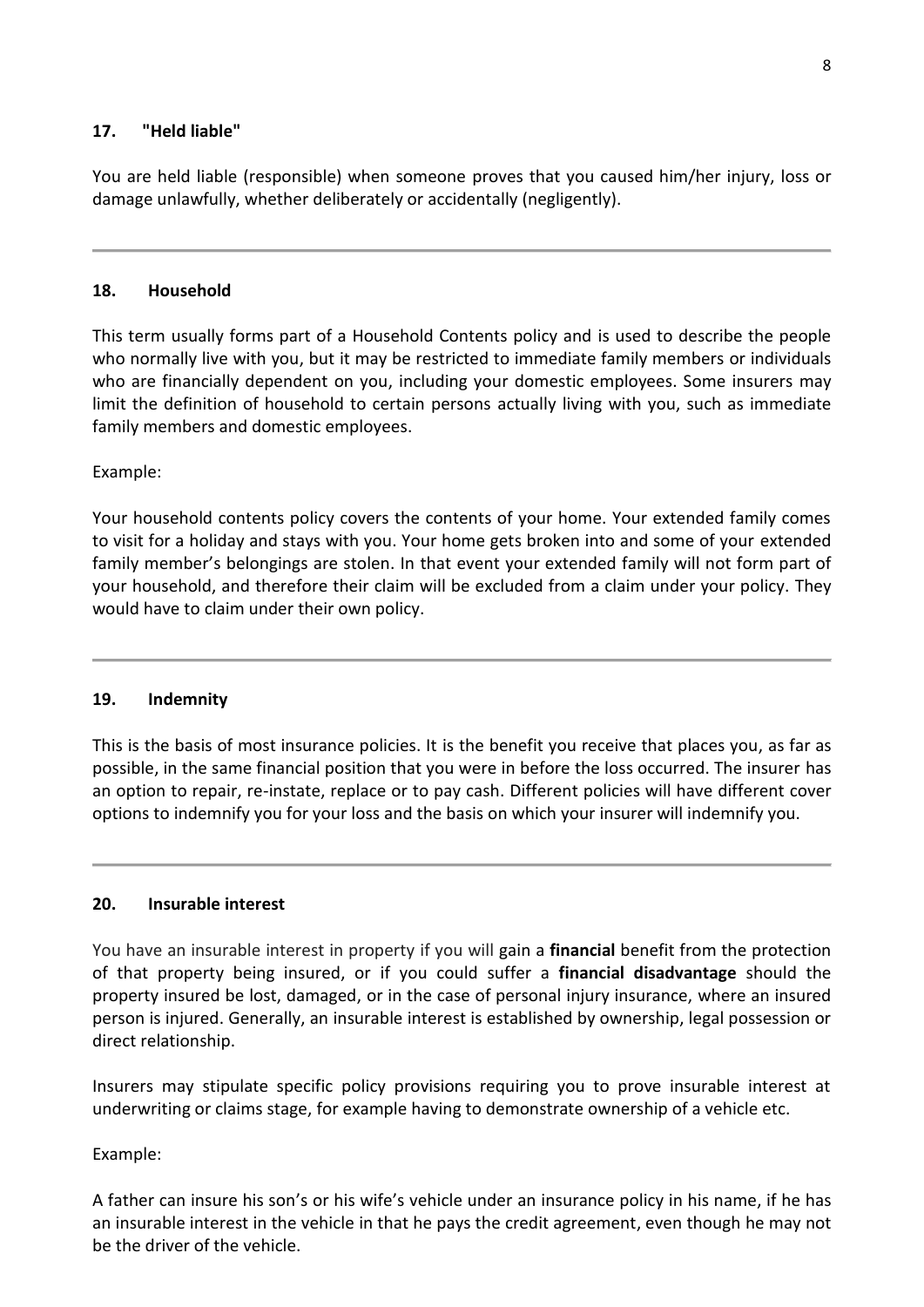## **17. "Held liable"**

You are held liable (responsible) when someone proves that you caused him/her injury, loss or damage unlawfully, whether deliberately or accidentally (negligently).

## **18. Household**

This term usually forms part of a Household Contents policy and is used to describe the people who normally live with you, but it may be restricted to immediate family members or individuals who are financially dependent on you, including your domestic employees. Some insurers may limit the definition of household to certain persons actually living with you, such as immediate family members and domestic employees.

## Example:

Your household contents policy covers the contents of your home. Your extended family comes to visit for a holiday and stays with you. Your home gets broken into and some of your extended family member's belongings are stolen. In that event your extended family will not form part of your household, and therefore their claim will be excluded from a claim under your policy. They would have to claim under their own policy.

## **19. Indemnity**

This is the basis of most insurance policies. It is the benefit you receive that places you, as far as possible, in the same financial position that you were in before the loss occurred. The insurer has an option to repair, re-instate, replace or to pay cash. Different policies will have different cover options to indemnify you for your loss and the basis on which your insurer will indemnify you.

## **20. Insurable interest**

You have an insurable interest in property if you will gain a **financial** benefit from the protection of that property being insured, or if you could suffer a **financial disadvantage** should the property insured be lost, damaged, or in the case of personal injury insurance, where an insured person is injured. Generally, an insurable interest is established by ownership, legal possession or direct relationship.

Insurers may stipulate specific policy provisions requiring you to prove insurable interest at underwriting or claims stage, for example having to demonstrate ownership of a vehicle etc.

## Example:

A father can insure his son's or his wife's vehicle under an insurance policy in his name, if he has an insurable interest in the vehicle in that he pays the credit agreement, even though he may not be the driver of the vehicle.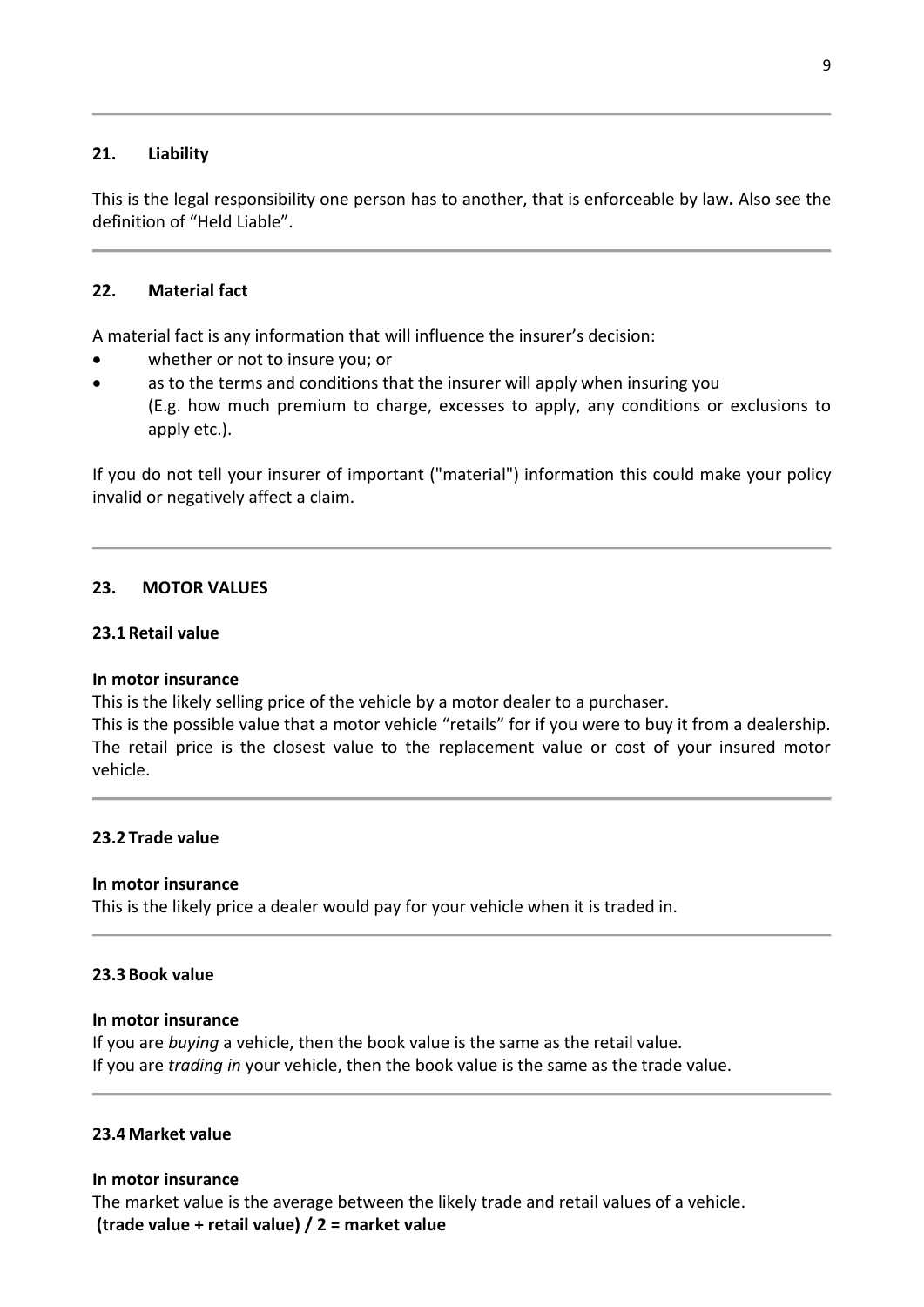## **21. Liability**

This is the legal responsibility one person has to another, that is enforceable by law**.** Also see the definition of "Held Liable".

#### **22. Material fact**

A material fact is any information that will influence the insurer's decision:

- whether or not to insure you; or
- as to the terms and conditions that the insurer will apply when insuring you (E.g. how much premium to charge, excesses to apply, any conditions or exclusions to apply etc.).

If you do not tell your insurer of important ("material") information this could make your policy invalid or negatively affect a claim.

## **23. MOTOR VALUES**

## **23.1 Retail value**

#### **In motor insurance**

This is the likely selling price of the vehicle by a motor dealer to a purchaser.

This is the possible value that a motor vehicle "retails" for if you were to buy it from a dealership. The retail price is the closest value to the replacement value or cost of your insured motor vehicle.

#### **23.2 Trade value**

#### **In motor insurance**

This is the likely price a dealer would pay for your vehicle when it is traded in.

#### **23.3 Book value**

## **In motor insurance**

If you are *buying* a vehicle, then the book value is the same as the retail value. If you are *trading in* your vehicle, then the book value is the same as the trade value.

#### **23.4Market value**

#### **In motor insurance**

The market value is the average between the likely trade and retail values of a vehicle. **(trade value + retail value) / 2 = market value**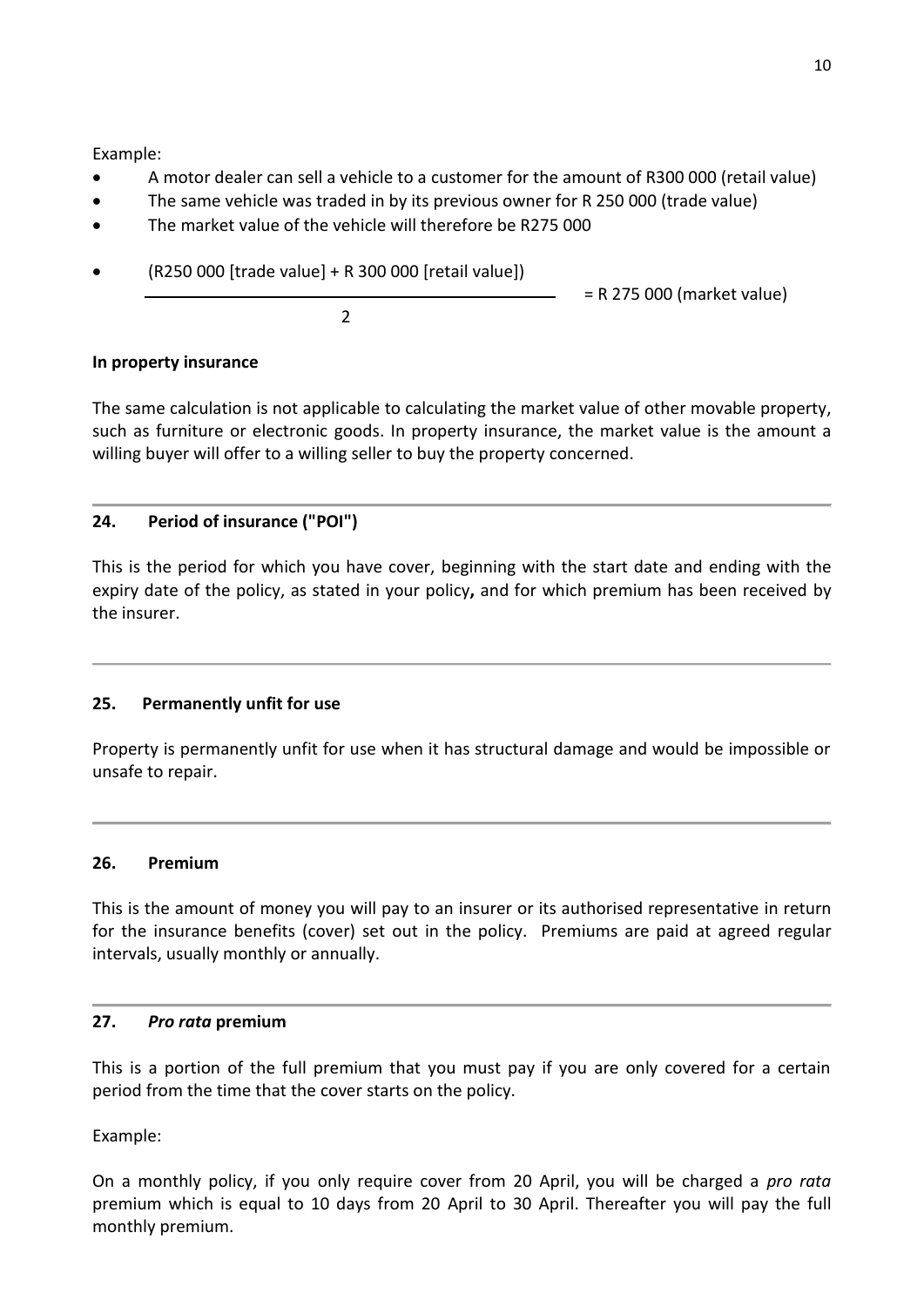Example:

- A motor dealer can sell a vehicle to a customer for the amount of R300 000 (retail value)
- The same vehicle was traded in by its previous owner for R 250 000 (trade value)
- The market value of the vehicle will therefore be R275 000
- (R250 000 [trade value] + R 300 000 [retail value])

= R 275 000 (market value)

2

# **In property insurance**

The same calculation is not applicable to calculating the market value of other movable property, such as furniture or electronic goods. In property insurance, the market value is the amount a willing buyer will offer to a willing seller to buy the property concerned.

# **24. Period of insurance ("POI")**

This is the period for which you have cover, beginning with the start date and ending with the expiry date of the policy, as stated in your policy**,** and for which premium has been received by the insurer.

# **25. Permanently unfit for use**

Property is permanently unfit for use when it has structural damage and would be impossible or unsafe to repair.

# **26. Premium**

This is the amount of money you will pay to an insurer or its authorised representative in return for the insurance benefits (cover) set out in the policy. Premiums are paid at agreed regular intervals, usually monthly or annually.

## **27.** *Pro rata* **premium**

This is a portion of the full premium that you must pay if you are only covered for a certain period from the time that the cover starts on the policy.

Example:

On a monthly policy, if you only require cover from 20 April, you will be charged a *pro rata* premium which is equal to 10 days from 20 April to 30 April. Thereafter you will pay the full monthly premium.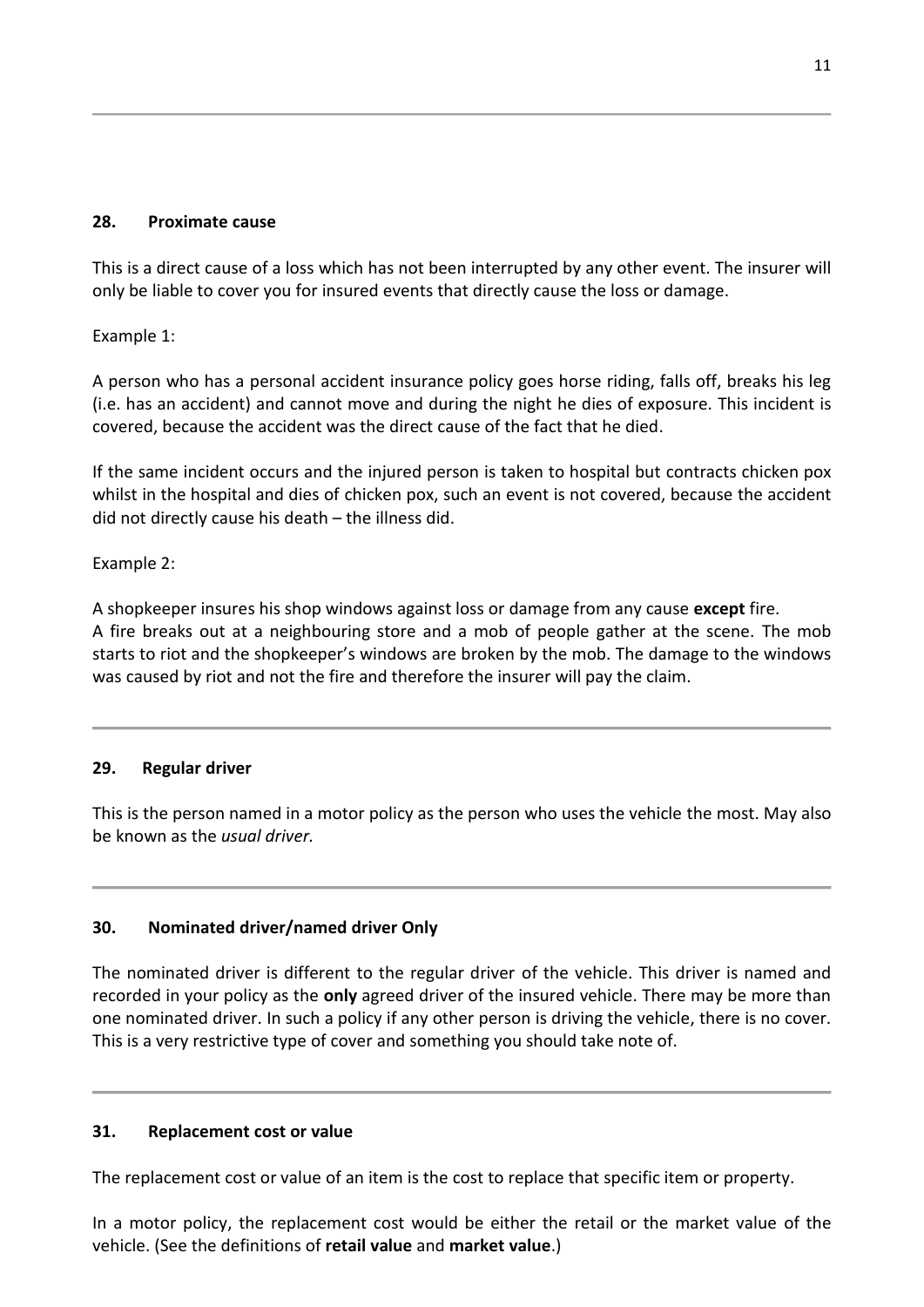## **28. Proximate cause**

This is a direct cause of a loss which has not been interrupted by any other event. The insurer will only be liable to cover you for insured events that directly cause the loss or damage.

Example 1:

A person who has a personal accident insurance policy goes horse riding, falls off, breaks his leg (i.e. has an accident) and cannot move and during the night he dies of exposure. This incident is covered, because the accident was the direct cause of the fact that he died.

If the same incident occurs and the injured person is taken to hospital but contracts chicken pox whilst in the hospital and dies of chicken pox, such an event is not covered, because the accident did not directly cause his death – the illness did.

Example 2:

A shopkeeper insures his shop windows against loss or damage from any cause **except** fire. A fire breaks out at a neighbouring store and a mob of people gather at the scene. The mob starts to riot and the shopkeeper's windows are broken by the mob. The damage to the windows was caused by riot and not the fire and therefore the insurer will pay the claim.

## **29. Regular driver**

This is the person named in a motor policy as the person who uses the vehicle the most. May also be known as the *usual driver.*

# **30. Nominated driver/named driver Only**

The nominated driver is different to the regular driver of the vehicle. This driver is named and recorded in your policy as the **only** agreed driver of the insured vehicle. There may be more than one nominated driver. In such a policy if any other person is driving the vehicle, there is no cover. This is a very restrictive type of cover and something you should take note of.

# **31. Replacement cost or value**

The replacement cost or value of an item is the cost to replace that specific item or property.

In a motor policy, the replacement cost would be either the retail or the market value of the vehicle. (See the definitions of **retail value** and **market value**.)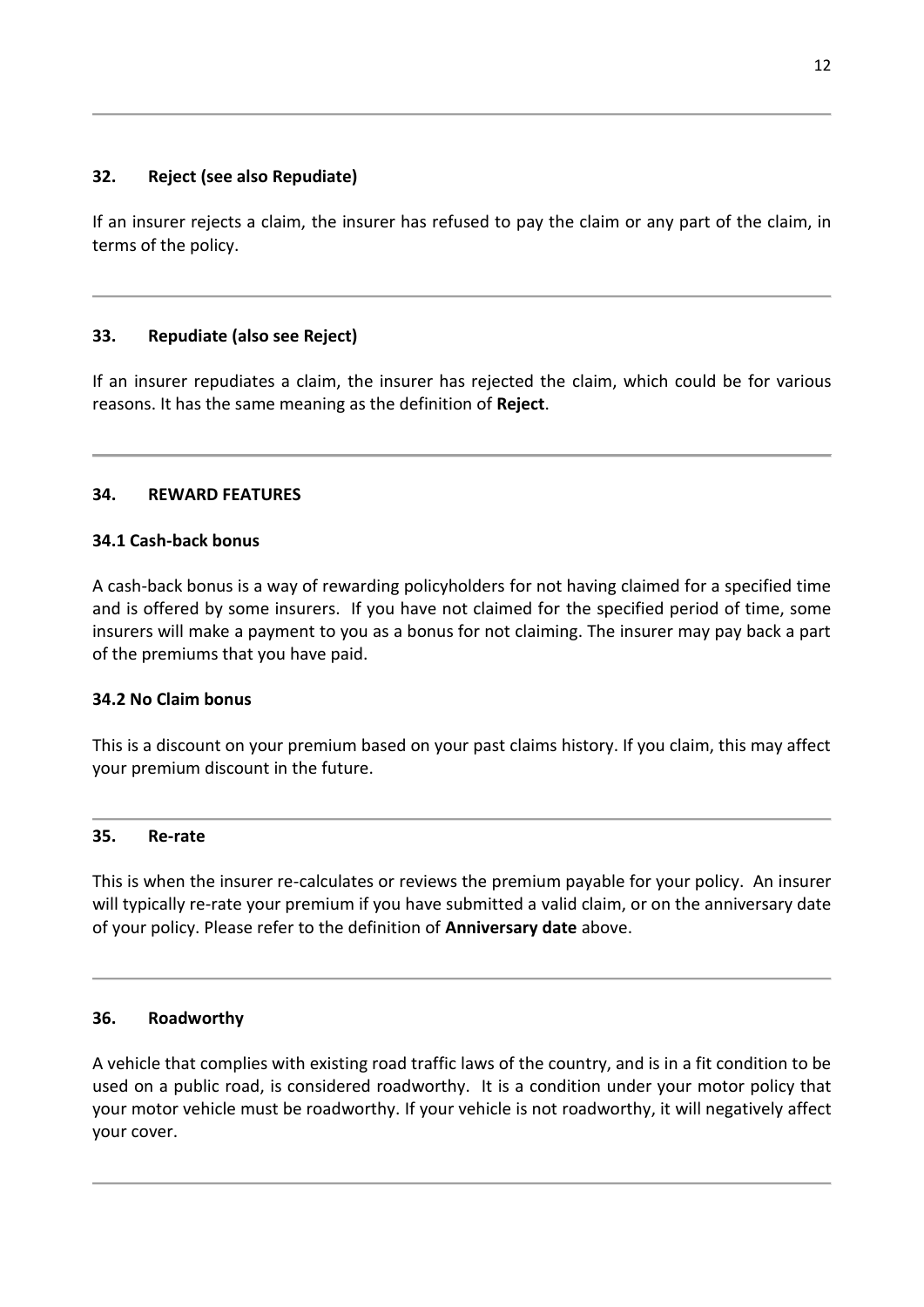## **32. Reject (see also Repudiate)**

If an insurer rejects a claim, the insurer has refused to pay the claim or any part of the claim, in terms of the policy.

## **33. Repudiate (also see Reject)**

If an insurer repudiates a claim, the insurer has rejected the claim, which could be for various reasons. It has the same meaning as the definition of **Reject**.

## **34. REWARD FEATURES**

## **34.1 Cash-back bonus**

A cash-back bonus is a way of rewarding policyholders for not having claimed for a specified time and is offered by some insurers. If you have not claimed for the specified period of time, some insurers will make a payment to you as a bonus for not claiming. The insurer may pay back a part of the premiums that you have paid.

## **34.2 No Claim bonus**

This is a discount on your premium based on your past claims history. If you claim, this may affect your premium discount in the future.

#### **35. Re-rate**

This is when the insurer re-calculates or reviews the premium payable for your policy. An insurer will typically re-rate your premium if you have submitted a valid claim, or on the anniversary date of your policy. Please refer to the definition of **Anniversary date** above.

## **36. Roadworthy**

A vehicle that complies with existing road traffic laws of the country, and is in a fit condition to be used on a public road, is considered roadworthy. It is a condition under your motor policy that your motor vehicle must be roadworthy. If your vehicle is not roadworthy, it will negatively affect your cover.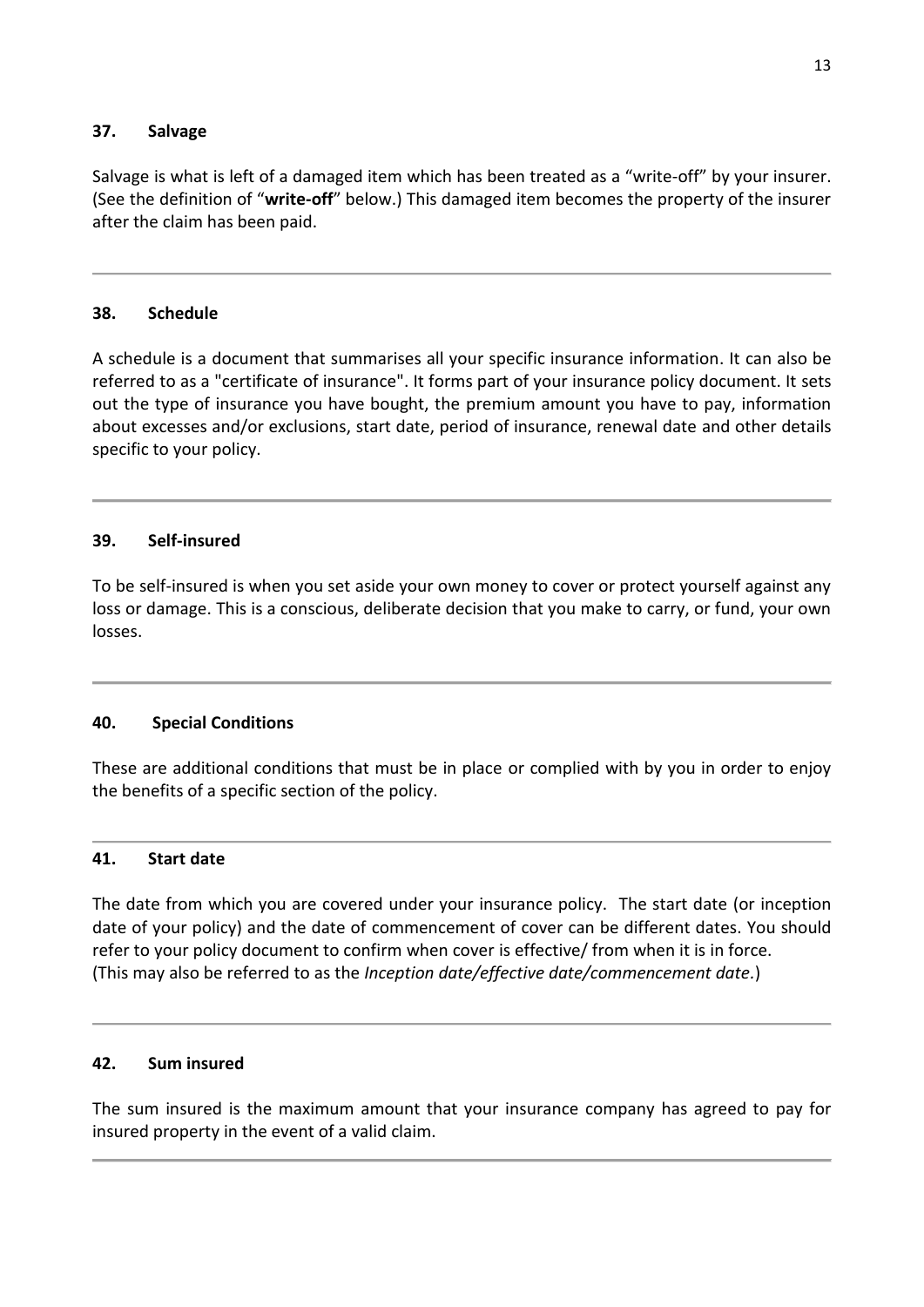## **37. Salvage**

Salvage is what is left of a damaged item which has been treated as a "write-off" by your insurer. (See the definition of "**write-off**" below.) This damaged item becomes the property of the insurer after the claim has been paid.

## **38. Schedule**

A schedule is a document that summarises all your specific insurance information. It can also be referred to as a "certificate of insurance". It forms part of your insurance policy document. It sets out the type of insurance you have bought, the premium amount you have to pay, information about excesses and/or exclusions, start date, period of insurance, renewal date and other details specific to your policy.

## **39. Self-insured**

To be self-insured is when you set aside your own money to cover or protect yourself against any loss or damage. This is a conscious, deliberate decision that you make to carry, or fund, your own losses.

# **40. Special Conditions**

These are additional conditions that must be in place or complied with by you in order to enjoy the benefits of a specific section of the policy.

## **41. Start date**

The date from which you are covered under your insurance policy. The start date (or inception date of your policy) and the date of commencement of cover can be different dates. You should refer to your policy document to confirm when cover is effective/ from when it is in force. (This may also be referred to as the *Inception date/effective date/commencement date.*)

## **42. Sum insured**

The sum insured is the maximum amount that your insurance company has agreed to pay for insured property in the event of a valid claim.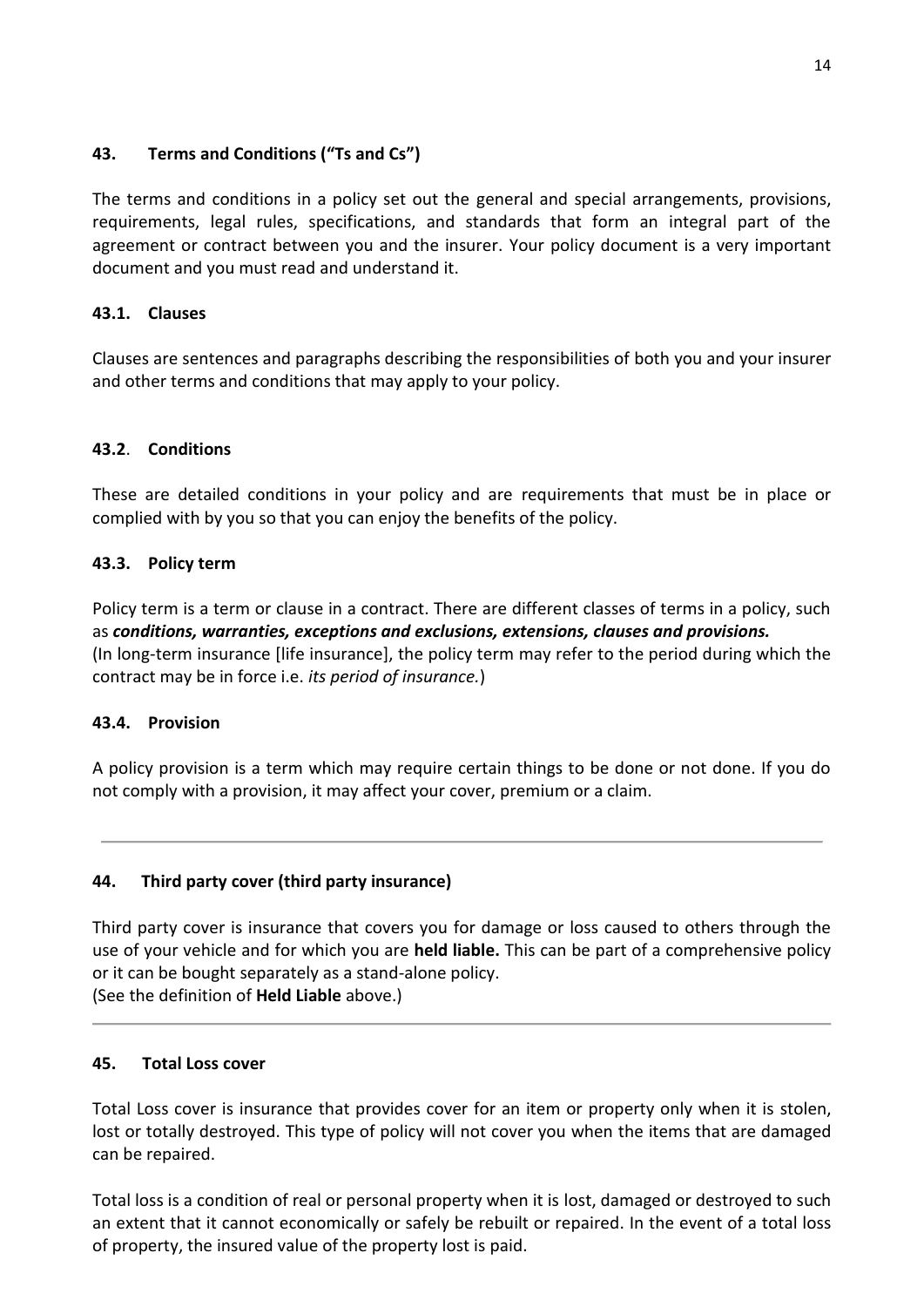# **43. Terms and Conditions ("Ts and Cs")**

The terms and conditions in a policy set out the general and special arrangements, provisions, requirements, legal rules, specifications, and standards that form an integral part of the agreement or contract between you and the insurer. Your policy document is a very important document and you must read and understand it.

# **43.1. Clauses**

Clauses are sentences and paragraphs describing the responsibilities of both you and your insurer and other terms and conditions that may apply to your policy.

# **43.2**. **Conditions**

These are detailed conditions in your policy and are requirements that must be in place or complied with by you so that you can enjoy the benefits of the policy.

# **43.3. Policy term**

Policy term is a term or clause in a contract. There are different classes of terms in a policy, such as *conditions, warranties, exceptions and exclusions, extensions, clauses and provisions.* (In long-term insurance [life insurance], the policy term may refer to the period during which the contract may be in force i.e. *its period of insurance.*)

# **43.4. Provision**

A policy provision is a term which may require certain things to be done or not done. If you do not comply with a provision, it may affect your cover, premium or a claim.

# **44. Third party cover (third party insurance)**

Third party cover is insurance that covers you for damage or loss caused to others through the use of your vehicle and for which you are **held liable.** This can be part of a comprehensive policy or it can be bought separately as a stand-alone policy. (See the definition of **Held Liable** above.)

# **45. Total Loss cover**

Total Loss cover is insurance that provides cover for an item or property only when it is stolen, lost or totally destroyed. This type of policy will not cover you when the items that are damaged can be repaired.

Total loss is a condition of real or personal property when it is lost, damaged or destroyed to such an extent that it cannot economically or safely be rebuilt or repaired. In the event of a total loss of property, the insured value of the property lost is paid.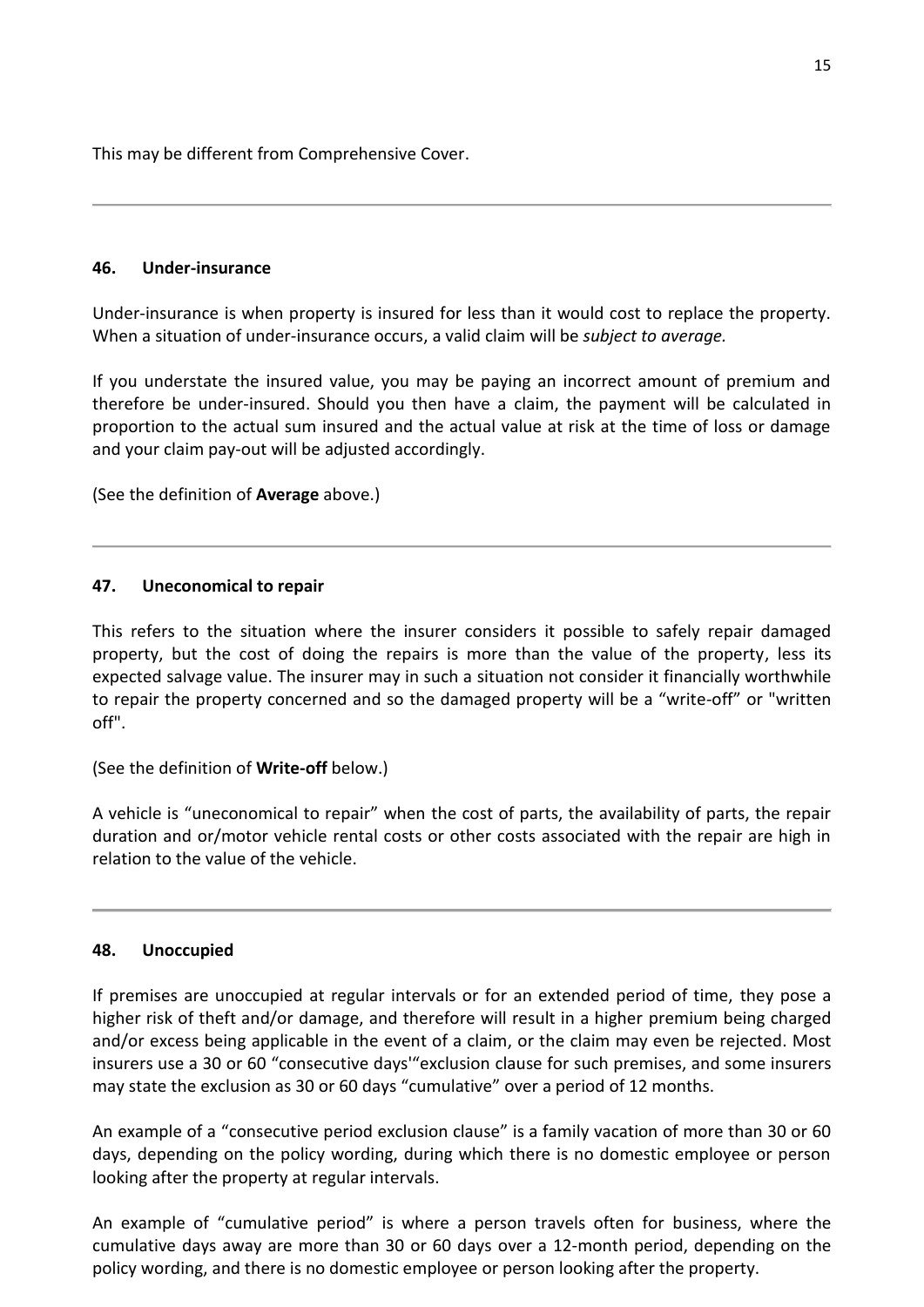This may be different from Comprehensive Cover.

## **46. Under-insurance**

Under-insurance is when property is insured for less than it would cost to replace the property. When a situation of under-insurance occurs, a valid claim will be *subject to average.*

If you understate the insured value, you may be paying an incorrect amount of premium and therefore be under-insured. Should you then have a claim, the payment will be calculated in proportion to the actual sum insured and the actual value at risk at the time of loss or damage and your claim pay-out will be adjusted accordingly.

(See the definition of **Average** above.)

## **47. Uneconomical to repair**

This refers to the situation where the insurer considers it possible to safely repair damaged property, but the cost of doing the repairs is more than the value of the property, less its expected salvage value. The insurer may in such a situation not consider it financially worthwhile to repair the property concerned and so the damaged property will be a "write-off" or "written off".

(See the definition of **Write-off** below.)

A vehicle is "uneconomical to repair" when the cost of parts, the availability of parts, the repair duration and or/motor vehicle rental costs or other costs associated with the repair are high in relation to the value of the vehicle.

#### **48. Unoccupied**

If premises are unoccupied at regular intervals or for an extended period of time, they pose a higher risk of theft and/or damage, and therefore will result in a higher premium being charged and/or excess being applicable in the event of a claim, or the claim may even be rejected. Most insurers use a 30 or 60 "consecutive days'"exclusion clause for such premises, and some insurers may state the exclusion as 30 or 60 days "cumulative" over a period of 12 months.

An example of a "consecutive period exclusion clause" is a family vacation of more than 30 or 60 days, depending on the policy wording, during which there is no domestic employee or person looking after the property at regular intervals.

An example of "cumulative period" is where a person travels often for business, where the cumulative days away are more than 30 or 60 days over a 12-month period, depending on the policy wording, and there is no domestic employee or person looking after the property.